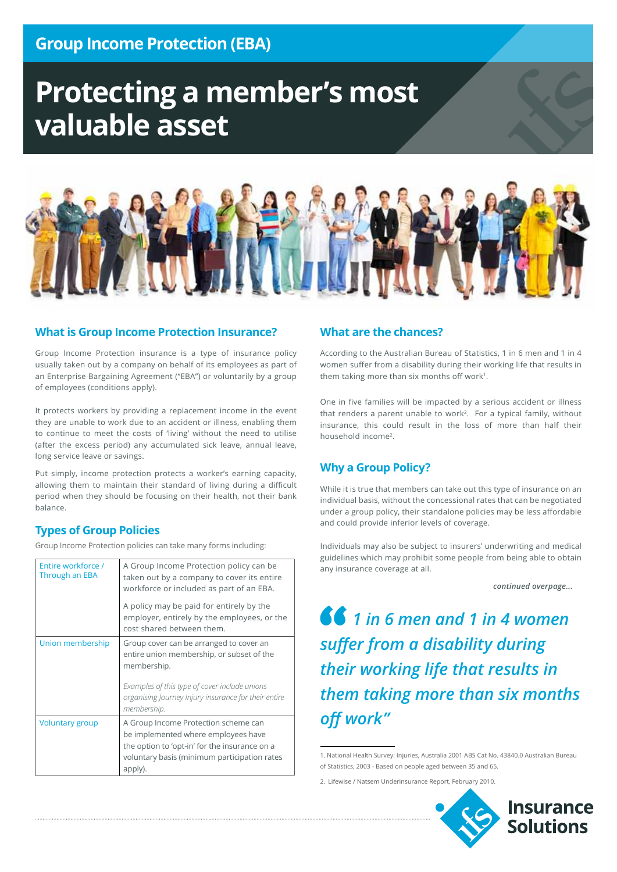# **Protecting a member's most valuable asset**



#### **What is Group Income Protection Insurance?**

Group Income Protection insurance is a type of insurance policy usually taken out by a company on behalf of its employees as part of an Enterprise Bargaining Agreement ("EBA") or voluntarily by a group of employees (conditions apply).

It protects workers by providing a replacement income in the event they are unable to work due to an accident or illness, enabling them to continue to meet the costs of 'living' without the need to utilise (after the excess period) any accumulated sick leave, annual leave, long service leave or savings.

Put simply, income protection protects a worker's earning capacity, allowing them to maintain their standard of living during a difficult period when they should be focusing on their health, not their bank balance.

#### **Types of Group Policies**

Group Income Protection policies can take many forms including:

| Entire workforce /<br>Through an EBA | A Group Income Protection policy can be<br>taken out by a company to cover its entire<br>workforce or included as part of an EBA.                                                                            |
|--------------------------------------|--------------------------------------------------------------------------------------------------------------------------------------------------------------------------------------------------------------|
|                                      | A policy may be paid for entirely by the<br>employer, entirely by the employees, or the<br>cost shared between them.                                                                                         |
| Union membership                     | Group cover can be arranged to cover an<br>entire union membership, or subset of the<br>membership.<br>Examples of this type of cover include unions<br>organising Journey Injury insurance for their entire |
|                                      | membership.                                                                                                                                                                                                  |
| <b>Voluntary group</b>               | A Group Income Protection scheme can<br>be implemented where employees have<br>the option to 'opt-in' for the insurance on a<br>voluntary basis (minimum participation rates<br>apply).                      |

#### **What are the chances?**

According to the Australian Bureau of Statistics, 1 in 6 men and 1 in 4 women suffer from a disability during their working life that results in them taking more than six months off work<sup>1</sup>.

One in five families will be impacted by a serious accident or illness that renders a parent unable to work<sup>2</sup>. For a typical family, without insurance, this could result in the loss of more than half their household income2.

#### **Why a Group Policy?**

While it is true that members can take out this type of insurance on an individual basis, without the concessional rates that can be negotiated under a group policy, their standalone policies may be less affordable and could provide inferior levels of coverage.

Individuals may also be subject to insurers' underwriting and medical guidelines which may prohibit some people from being able to obtain any insurance coverage at all.

*continued overpage...*

*1 in 6 men and 1 in 4 women suffer from a disability during their working life that results in them taking more than six months off work"*

1. National Health Survey: Injuries, Australia 2001 ABS Cat No. 43840.0 Australian Bureau of Statistics, 2003 - Based on people aged between 35 and 65.

<sup>2.</sup> Lifewise / Natsem Underinsurance Report, February 2010.